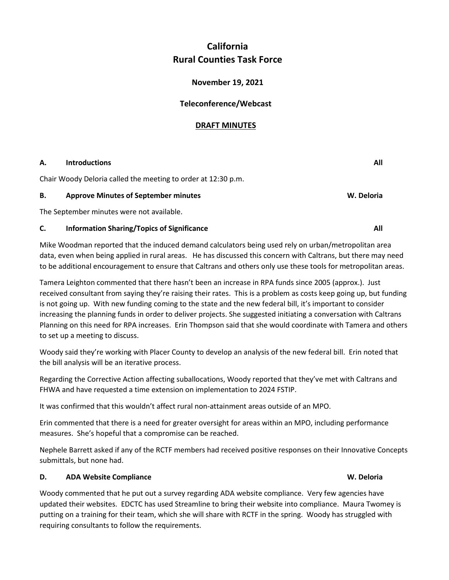## **California Rural Counties Task Force**

### **November 19, 2021**

### **Teleconference/Webcast**

### **DRAFT MINUTES**

# **A.** Introductions All **All All All All** Chair Woody Deloria called the meeting to order at 12:30 p.m. **B.** Approve Minutes of September minutes **Minutes W. Deloria W. Deloria** The September minutes were not available. **C.** Information Sharing/Topics of Significance **All All All All All All**

Mike Woodman reported that the induced demand calculators being used rely on urban/metropolitan area data, even when being applied in rural areas. He has discussed this concern with Caltrans, but there may need to be additional encouragement to ensure that Caltrans and others only use these tools for metropolitan areas.

Tamera Leighton commented that there hasn't been an increase in RPA funds since 2005 (approx.). Just received consultant from saying they're raising their rates. This is a problem as costs keep going up, but funding is not going up. With new funding coming to the state and the new federal bill, it's important to consider increasing the planning funds in order to deliver projects. She suggested initiating a conversation with Caltrans Planning on this need for RPA increases. Erin Thompson said that she would coordinate with Tamera and others to set up a meeting to discuss.

Woody said they're working with Placer County to develop an analysis of the new federal bill. Erin noted that the bill analysis will be an iterative process.

Regarding the Corrective Action affecting suballocations, Woody reported that they've met with Caltrans and FHWA and have requested a time extension on implementation to 2024 FSTIP.

It was confirmed that this wouldn't affect rural non-attainment areas outside of an MPO.

Erin commented that there is a need for greater oversight for areas within an MPO, including performance measures. She's hopeful that a compromise can be reached.

Nephele Barrett asked if any of the RCTF members had received positive responses on their Innovative Concepts submittals, but none had.

### **D.** ADA Website Compliance **W. Deloria W. Deloria W. Deloria**

Woody commented that he put out a survey regarding ADA website compliance. Very few agencies have updated their websites. EDCTC has used Streamline to bring their website into compliance. Maura Twomey is putting on a training for their team, which she will share with RCTF in the spring. Woody has struggled with requiring consultants to follow the requirements.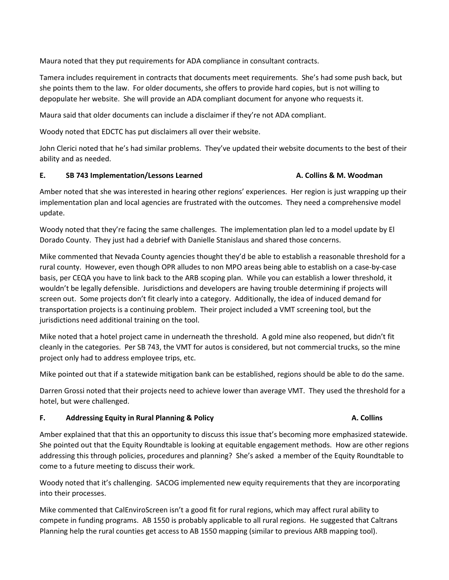Maura noted that they put requirements for ADA compliance in consultant contracts.

Tamera includes requirement in contracts that documents meet requirements. She's had some push back, but she points them to the law. For older documents, she offers to provide hard copies, but is not willing to depopulate her website. She will provide an ADA compliant document for anyone who requests it.

Maura said that older documents can include a disclaimer if they're not ADA compliant.

Woody noted that EDCTC has put disclaimers all over their website.

John Clerici noted that he's had similar problems. They've updated their website documents to the best of their ability and as needed.

#### **E.** SB 743 Implementation/Lessons Learned **A. Collins & M. Woodman**

Amber noted that she was interested in hearing other regions' experiences. Her region is just wrapping up their implementation plan and local agencies are frustrated with the outcomes. They need a comprehensive model update.

Woody noted that they're facing the same challenges. The implementation plan led to a model update by El Dorado County. They just had a debrief with Danielle Stanislaus and shared those concerns.

Mike commented that Nevada County agencies thought they'd be able to establish a reasonable threshold for a rural county. However, even though OPR alludes to non MPO areas being able to establish on a case-by-case basis, per CEQA you have to link back to the ARB scoping plan. While you can establish a lower threshold, it wouldn't be legally defensible. Jurisdictions and developers are having trouble determining if projects will screen out. Some projects don't fit clearly into a category. Additionally, the idea of induced demand for transportation projects is a continuing problem. Their project included a VMT screening tool, but the jurisdictions need additional training on the tool.

Mike noted that a hotel project came in underneath the threshold. A gold mine also reopened, but didn't fit cleanly in the categories. Per SB 743, the VMT for autos is considered, but not commercial trucks, so the mine project only had to address employee trips, etc.

Mike pointed out that if a statewide mitigation bank can be established, regions should be able to do the same.

Darren Grossi noted that their projects need to achieve lower than average VMT. They used the threshold for a hotel, but were challenged.

#### **F.** Addressing Equity in Rural Planning & Policy **A. Colling A. Collins A. Collins**

Amber explained that that this an opportunity to discuss this issue that's becoming more emphasized statewide. She pointed out that the Equity Roundtable is looking at equitable engagement methods. How are other regions addressing this through policies, procedures and planning? She's asked a member of the Equity Roundtable to come to a future meeting to discuss their work.

Woody noted that it's challenging. SACOG implemented new equity requirements that they are incorporating into their processes.

Mike commented that CalEnviroScreen isn't a good fit for rural regions, which may affect rural ability to compete in funding programs. AB 1550 is probably applicable to all rural regions. He suggested that Caltrans Planning help the rural counties get access to AB 1550 mapping (similar to previous ARB mapping tool).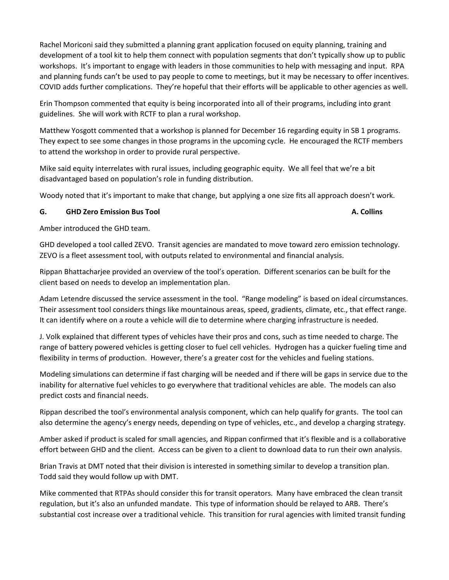Rachel Moriconi said they submitted a planning grant application focused on equity planning, training and development of a tool kit to help them connect with population segments that don't typically show up to public workshops. It's important to engage with leaders in those communities to help with messaging and input. RPA and planning funds can't be used to pay people to come to meetings, but it may be necessary to offer incentives. COVID adds further complications. They're hopeful that their efforts will be applicable to other agencies as well.

Erin Thompson commented that equity is being incorporated into all of their programs, including into grant guidelines. She will work with RCTF to plan a rural workshop.

Matthew Yosgott commented that a workshop is planned for December 16 regarding equity in SB 1 programs. They expect to see some changes in those programs in the upcoming cycle. He encouraged the RCTF members to attend the workshop in order to provide rural perspective.

Mike said equity interrelates with rural issues, including geographic equity. We all feel that we're a bit disadvantaged based on population's role in funding distribution.

Woody noted that it's important to make that change, but applying a one size fits all approach doesn't work.

#### **G.** GHD Zero Emission Bus Tool **A. Collins and A. Collins A. Collins A. Collins**

Amber introduced the GHD team.

GHD developed a tool called ZEVO. Transit agencies are mandated to move toward zero emission technology. ZEVO is a fleet assessment tool, with outputs related to environmental and financial analysis.

Rippan Bhattacharjee provided an overview of the tool's operation. Different scenarios can be built for the client based on needs to develop an implementation plan.

Adam Letendre discussed the service assessment in the tool. "Range modeling" is based on ideal circumstances. Their assessment tool considers things like mountainous areas, speed, gradients, climate, etc., that effect range. It can identify where on a route a vehicle will die to determine where charging infrastructure is needed.

J. Volk explained that different types of vehicles have their pros and cons, such as time needed to charge. The range of battery powered vehicles is getting closer to fuel cell vehicles. Hydrogen has a quicker fueling time and flexibility in terms of production. However, there's a greater cost for the vehicles and fueling stations.

Modeling simulations can determine if fast charging will be needed and if there will be gaps in service due to the inability for alternative fuel vehicles to go everywhere that traditional vehicles are able. The models can also predict costs and financial needs.

Rippan described the tool's environmental analysis component, which can help qualify for grants. The tool can also determine the agency's energy needs, depending on type of vehicles, etc., and develop a charging strategy.

Amber asked if product is scaled for small agencies, and Rippan confirmed that it's flexible and is a collaborative effort between GHD and the client. Access can be given to a client to download data to run their own analysis.

Brian Travis at DMT noted that their division is interested in something similar to develop a transition plan. Todd said they would follow up with DMT.

Mike commented that RTPAs should consider this for transit operators. Many have embraced the clean transit regulation, but it's also an unfunded mandate. This type of information should be relayed to ARB. There's substantial cost increase over a traditional vehicle. This transition for rural agencies with limited transit funding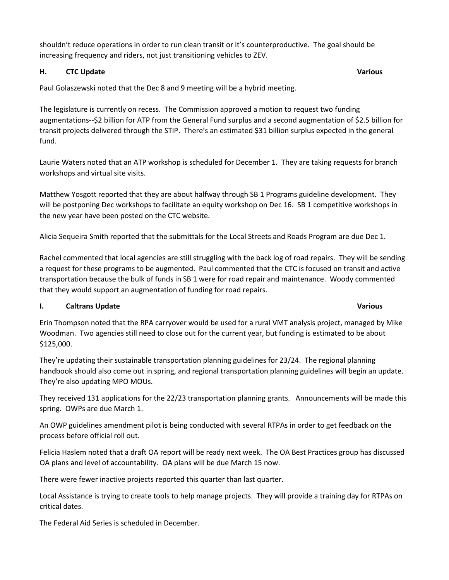shouldn't reduce operations in order to run clean transit or it's counterproductive. The goal should be increasing frequency and riders, not just transitioning vehicles to ZEV.

#### **H.** CTC Update Various **Various Various**

Paul Golaszewski noted that the Dec 8 and 9 meeting will be a hybrid meeting.

The legislature is currently on recess. The Commission approved a motion to request two funding augmentations--\$2 billion for ATP from the General Fund surplus and a second augmentation of \$2.5 billion for transit projects delivered through the STIP. There's an estimated \$31 billion surplus expected in the general fund.

Laurie Waters noted that an ATP workshop is scheduled for December 1. They are taking requests for branch workshops and virtual site visits.

Matthew Yosgott reported that they are about halfway through SB 1 Programs guideline development. They will be postponing Dec workshops to facilitate an equity workshop on Dec 16. SB 1 competitive workshops in the new year have been posted on the CTC website.

Alicia Sequeira Smith reported that the submittals for the Local Streets and Roads Program are due Dec 1.

Rachel commented that local agencies are still struggling with the back log of road repairs. They will be sending a request for these programs to be augmented. Paul commented that the CTC is focused on transit and active transportation because the bulk of funds in SB 1 were for road repair and maintenance. Woody commented that they would support an augmentation of funding for road repairs.

### **I.** Caltrans Update Various **Various Various**

Erin Thompson noted that the RPA carryover would be used for a rural VMT analysis project, managed by Mike Woodman. Two agencies still need to close out for the current year, but funding is estimated to be about \$125,000.

They're updating their sustainable transportation planning guidelines for 23/24. The regional planning handbook should also come out in spring, and regional transportation planning guidelines will begin an update. They're also updating MPO MOUs.

They received 131 applications for the 22/23 transportation planning grants. Announcements will be made this spring. OWPs are due March 1.

An OWP guidelines amendment pilot is being conducted with several RTPAs in order to get feedback on the process before official roll out.

Felicia Haslem noted that a draft OA report will be ready next week. The OA Best Practices group has discussed OA plans and level of accountability. OA plans will be due March 15 now.

There were fewer inactive projects reported this quarter than last quarter.

Local Assistance is trying to create tools to help manage projects. They will provide a training day for RTPAs on critical dates.

The Federal Aid Series is scheduled in December.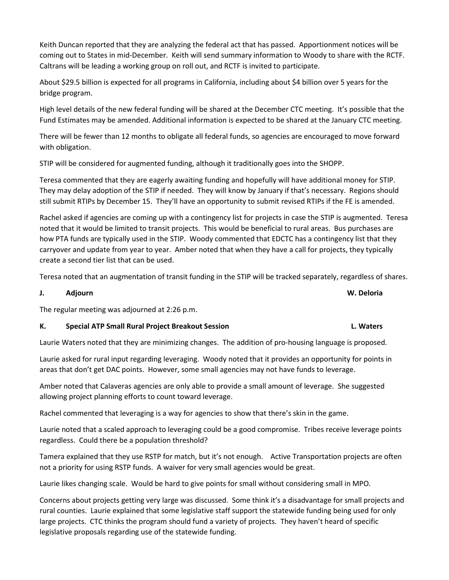Keith Duncan reported that they are analyzing the federal act that has passed. Apportionment notices will be coming out to States in mid-December. Keith will send summary information to Woody to share with the RCTF. Caltrans will be leading a working group on roll out, and RCTF is invited to participate.

About \$29.5 billion is expected for all programs in California, including about \$4 billion over 5 years for the bridge program.

High level details of the new federal funding will be shared at the December CTC meeting. It's possible that the Fund Estimates may be amended. Additional information is expected to be shared at the January CTC meeting.

There will be fewer than 12 months to obligate all federal funds, so agencies are encouraged to move forward with obligation.

STIP will be considered for augmented funding, although it traditionally goes into the SHOPP.

Teresa commented that they are eagerly awaiting funding and hopefully will have additional money for STIP. They may delay adoption of the STIP if needed. They will know by January if that's necessary. Regions should still submit RTIPs by December 15. They'll have an opportunity to submit revised RTIPs if the FE is amended.

Rachel asked if agencies are coming up with a contingency list for projects in case the STIP is augmented. Teresa noted that it would be limited to transit projects. This would be beneficial to rural areas. Bus purchases are how PTA funds are typically used in the STIP. Woody commented that EDCTC has a contingency list that they carryover and update from year to year. Amber noted that when they have a call for projects, they typically create a second tier list that can be used.

Teresa noted that an augmentation of transit funding in the STIP will be tracked separately, regardless of shares.

#### **J. Adjourn W. Deloria**

The regular meeting was adjourned at 2:26 p.m.

#### K. Special ATP Small Rural Project Breakout Session **Let up a Secure 2018** L. Waters

Laurie Waters noted that they are minimizing changes. The addition of pro-housing language is proposed.

Laurie asked for rural input regarding leveraging. Woody noted that it provides an opportunity for points in areas that don't get DAC points. However, some small agencies may not have funds to leverage.

Amber noted that Calaveras agencies are only able to provide a small amount of leverage. She suggested allowing project planning efforts to count toward leverage.

Rachel commented that leveraging is a way for agencies to show that there's skin in the game.

Laurie noted that a scaled approach to leveraging could be a good compromise. Tribes receive leverage points regardless. Could there be a population threshold?

Tamera explained that they use RSTP for match, but it's not enough. Active Transportation projects are often not a priority for using RSTP funds. A waiver for very small agencies would be great.

Laurie likes changing scale. Would be hard to give points for small without considering small in MPO.

Concerns about projects getting very large was discussed. Some think it's a disadvantage for small projects and rural counties. Laurie explained that some legislative staff support the statewide funding being used for only large projects. CTC thinks the program should fund a variety of projects. They haven't heard of specific legislative proposals regarding use of the statewide funding.